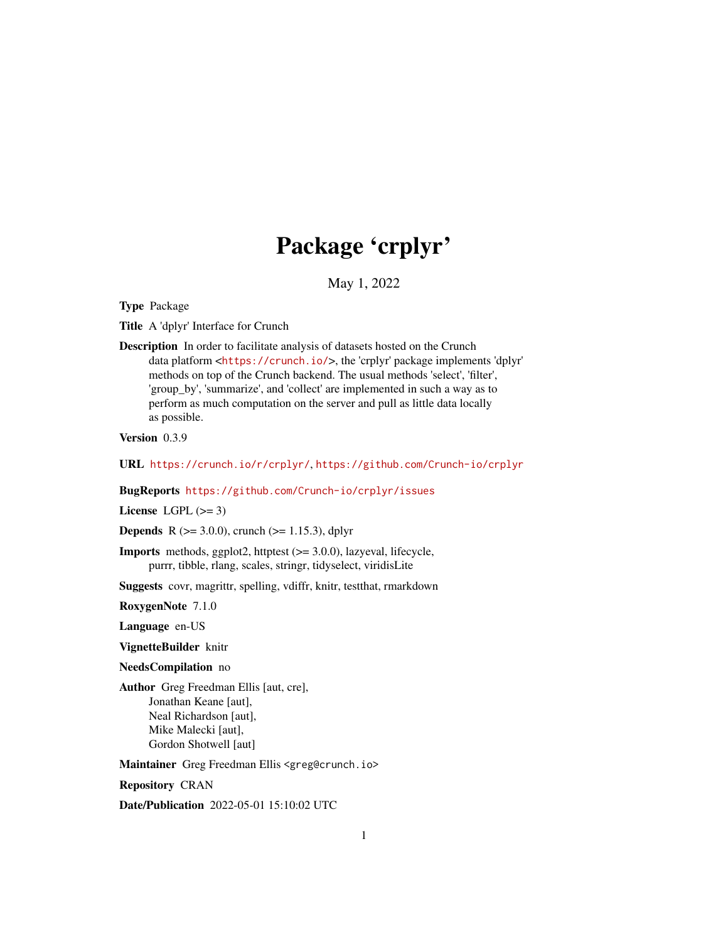# Package 'crplyr'

May 1, 2022

<span id="page-0-0"></span>Type Package

Title A 'dplyr' Interface for Crunch

Description In order to facilitate analysis of datasets hosted on the Crunch data platform <<https://crunch.io/>>, the 'crplyr' package implements 'dplyr' methods on top of the Crunch backend. The usual methods 'select', 'filter', 'group\_by', 'summarize', and 'collect' are implemented in such a way as to perform as much computation on the server and pull as little data locally as possible.

Version 0.3.9

URL <https://crunch.io/r/crplyr/>, <https://github.com/Crunch-io/crplyr>

BugReports <https://github.com/Crunch-io/crplyr/issues>

License LGPL  $(>= 3)$ 

**Depends** R ( $>= 3.0.0$ ), crunch ( $>= 1.15.3$ ), dplyr

Imports methods, ggplot2, httptest (>= 3.0.0), lazyeval, lifecycle, purrr, tibble, rlang, scales, stringr, tidyselect, viridisLite

Suggests covr, magrittr, spelling, vdiffr, knitr, testthat, rmarkdown

RoxygenNote 7.1.0

Language en-US

VignetteBuilder knitr

NeedsCompilation no

Author Greg Freedman Ellis [aut, cre], Jonathan Keane [aut], Neal Richardson [aut], Mike Malecki [aut], Gordon Shotwell [aut]

Maintainer Greg Freedman Ellis <greg@crunch.io>

Repository CRAN

Date/Publication 2022-05-01 15:10:02 UTC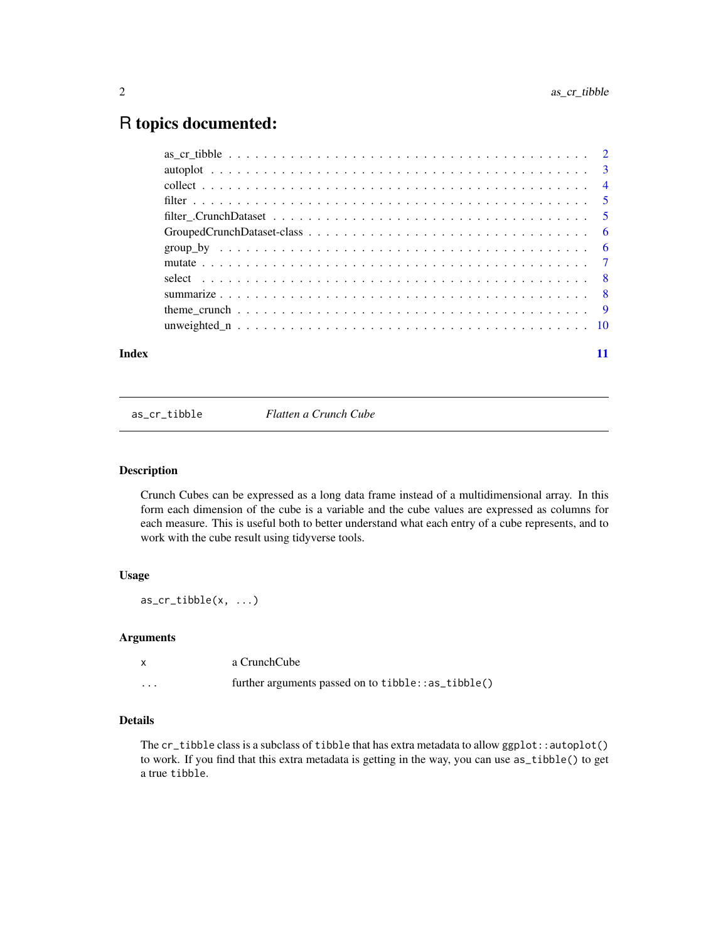# <span id="page-1-0"></span>R topics documented:

| Index |  |
|-------|--|

as\_cr\_tibble *Flatten a Crunch Cube*

# Description

Crunch Cubes can be expressed as a long data frame instead of a multidimensional array. In this form each dimension of the cube is a variable and the cube values are expressed as columns for each measure. This is useful both to better understand what each entry of a cube represents, and to work with the cube result using tidyverse tools.

# Usage

as\_cr\_tibble(x, ...)

#### Arguments

| $\mathsf{x}$ | a CrunchCube                                         |
|--------------|------------------------------------------------------|
| $\cdots$     | further arguments passed on to $tibble::as_tibble()$ |

# Details

The cr\_tibble class is a subclass of tibble that has extra metadata to allow ggplot::autoplot() to work. If you find that this extra metadata is getting in the way, you can use as\_tibble() to get a true tibble.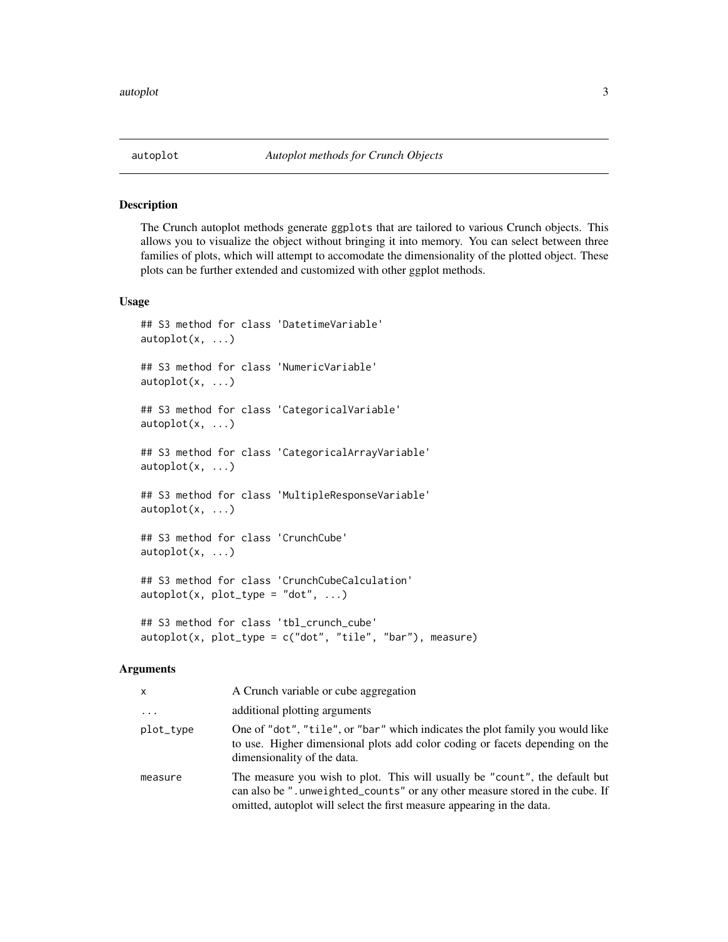<span id="page-2-0"></span>

The Crunch autoplot methods generate ggplots that are tailored to various Crunch objects. This allows you to visualize the object without bringing it into memory. You can select between three families of plots, which will attempt to accomodate the dimensionality of the plotted object. These plots can be further extended and customized with other ggplot methods.

#### Usage

```
## S3 method for class 'DatetimeVariable'
autoplot(x, \ldots)## S3 method for class 'NumericVariable'
autoplot(x, ...)
## S3 method for class 'CategoricalVariable'
autoplot(x, \ldots)## S3 method for class 'CategoricalArrayVariable'
autoplot(x, \ldots)## S3 method for class 'MultipleResponseVariable'
autoplot(x, \ldots)## S3 method for class 'CrunchCube'
autoplot(x, ...)
## S3 method for class 'CrunchCubeCalculation'
autoplot(x, plot_type = "dot", ...)## S3 method for class 'tbl_crunch_cube'
autoplot(x, plot_type = c("dot", "tile", "bar"), measure)
```
#### Arguments

| X         | A Crunch variable or cube aggregation                                                                                                                                                                                                 |
|-----------|---------------------------------------------------------------------------------------------------------------------------------------------------------------------------------------------------------------------------------------|
| $\ddotsc$ | additional plotting arguments                                                                                                                                                                                                         |
| plot_type | One of "dot", "tile", or "bar" which indicates the plot family you would like<br>to use. Higher dimensional plots add color coding or facets depending on the<br>dimensionality of the data.                                          |
| measure   | The measure you wish to plot. This will usually be "count", the default but<br>can also be ".unweighted_counts" or any other measure stored in the cube. If<br>omitted, autoplot will select the first measure appearing in the data. |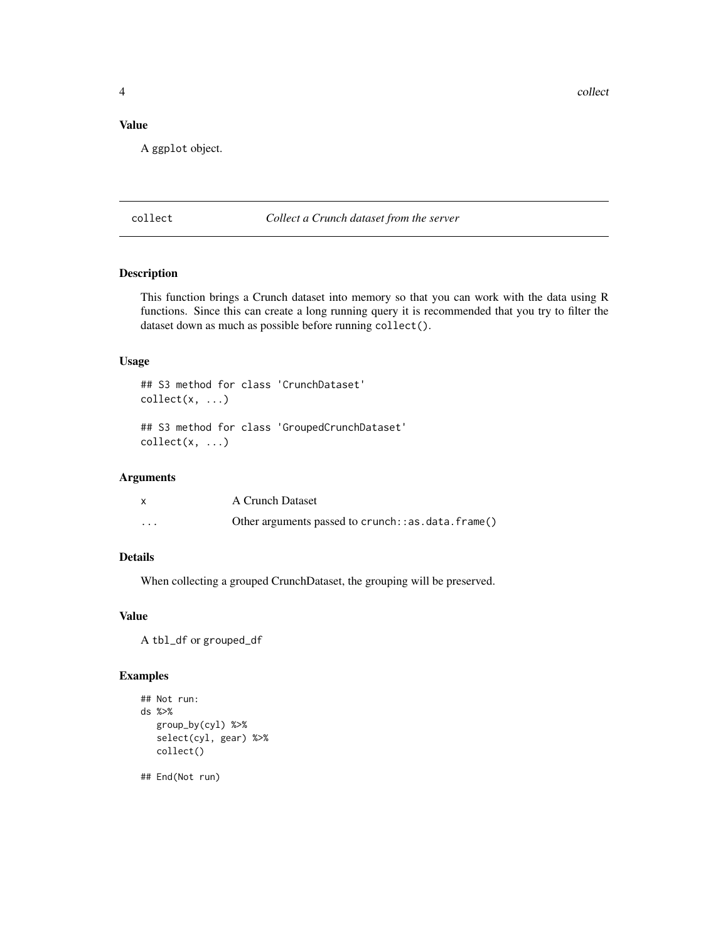<span id="page-3-0"></span>4 collect the collect of the collect of the collect of the collect of the collect of the collect of the collect of the collect of the collect of the collect of the collect of the collect of the collect of the collect of th

# Value

A ggplot object.

collect *Collect a Crunch dataset from the server*

# Description

This function brings a Crunch dataset into memory so that you can work with the data using R functions. Since this can create a long running query it is recommended that you try to filter the dataset down as much as possible before running collect().

# Usage

## S3 method for class 'CrunchDataset'  $collect(x, \ldots)$ ## S3 method for class 'GroupedCrunchDataset'  $collect(x, \ldots)$ 

# Arguments

|         | A Crunch Dataset                                           |
|---------|------------------------------------------------------------|
| $\cdot$ | Other arguments passed to crunch: $:$ as $.data$ . frame() |

# Details

When collecting a grouped CrunchDataset, the grouping will be preserved.

# Value

A tbl\_df or grouped\_df

### Examples

```
## Not run:
ds %>%
  group_by(cyl) %>%
  select(cyl, gear) %>%
  collect()
```
## End(Not run)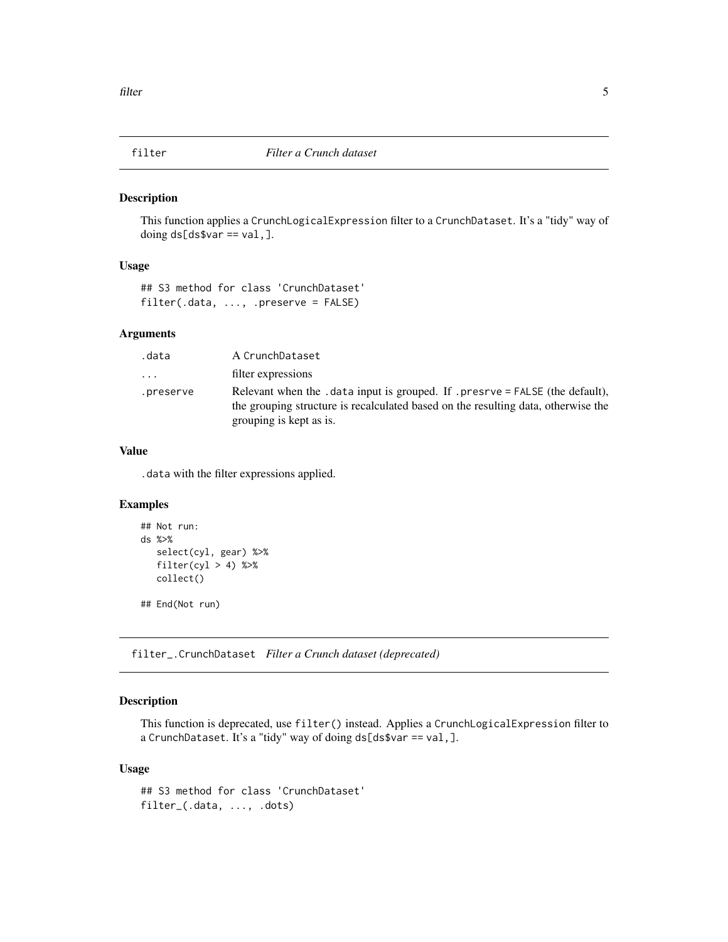<span id="page-4-0"></span>

This function applies a CrunchLogicalExpression filter to a CrunchDataset. It's a "tidy" way of doing ds[ds\$var == val,].

#### Usage

```
## S3 method for class 'CrunchDataset'
filter(.data, ..., .preserve = FALSE)
```
# Arguments

| .data     | A CrunchDataset                                                                                                                                                                              |
|-----------|----------------------------------------------------------------------------------------------------------------------------------------------------------------------------------------------|
| .         | filter expressions                                                                                                                                                                           |
| .preserve | Relevant when the .data input is grouped. If .presrve = FALSE (the default),<br>the grouping structure is recalculated based on the resulting data, otherwise the<br>grouping is kept as is. |

# Value

.data with the filter expressions applied.

# Examples

```
## Not run:
ds %>%
   select(cyl, gear) %>%
   filter(cyl > 4) %>%
  collect()
## End(Not run)
```
filter\_.CrunchDataset *Filter a Crunch dataset (deprecated)*

# Description

This function is deprecated, use filter() instead. Applies a CrunchLogicalExpression filter to a CrunchDataset. It's a "tidy" way of doing ds[ds\$var == val,].

#### Usage

## S3 method for class 'CrunchDataset' filter\_(.data, ..., .dots)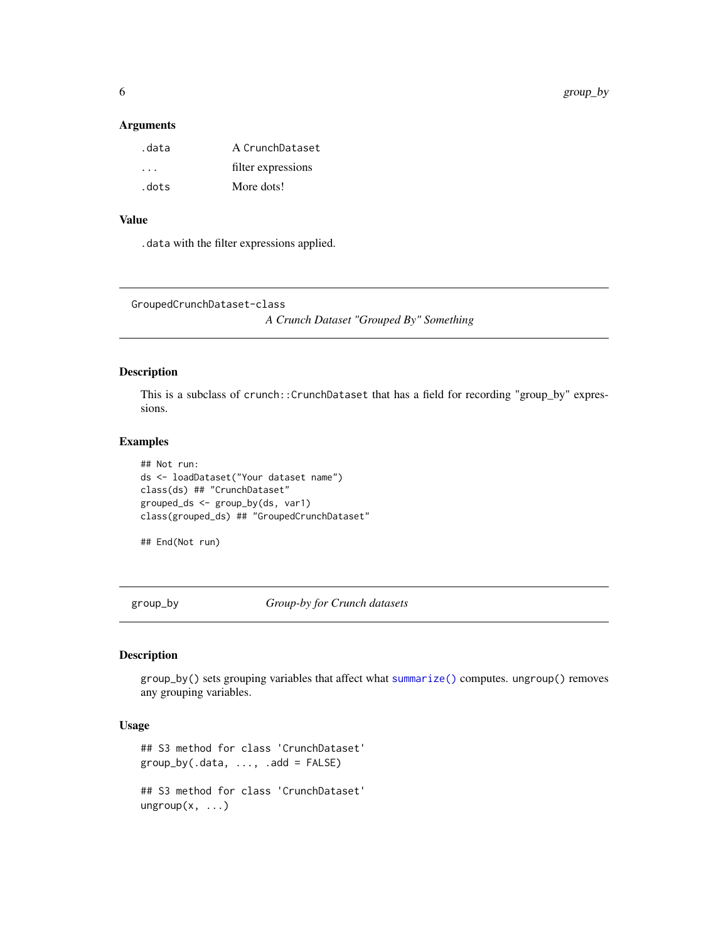# <span id="page-5-0"></span>Arguments

| .data                | A CrunchDataset    |
|----------------------|--------------------|
| $\ddot{\phantom{1}}$ | filter expressions |
| .dots                | More dots!         |

# Value

.data with the filter expressions applied.

```
GroupedCrunchDataset-class
```
*A Crunch Dataset "Grouped By" Something*

# Description

This is a subclass of crunch::CrunchDataset that has a field for recording "group\_by" expressions.

#### Examples

```
## Not run:
ds <- loadDataset("Your dataset name")
class(ds) ## "CrunchDataset"
grouped_ds <- group_by(ds, var1)
class(grouped_ds) ## "GroupedCrunchDataset"
```
## End(Not run)

group\_by *Group-by for Crunch datasets*

# Description

group\_by() sets grouping variables that affect what [summarize\(\)](#page-7-1) computes. ungroup() removes any grouping variables.

# Usage

```
## S3 method for class 'CrunchDataset'
group_by(.data, ..., .add = FALSE)## S3 method for class 'CrunchDataset'
ungroup(x, \ldots)
```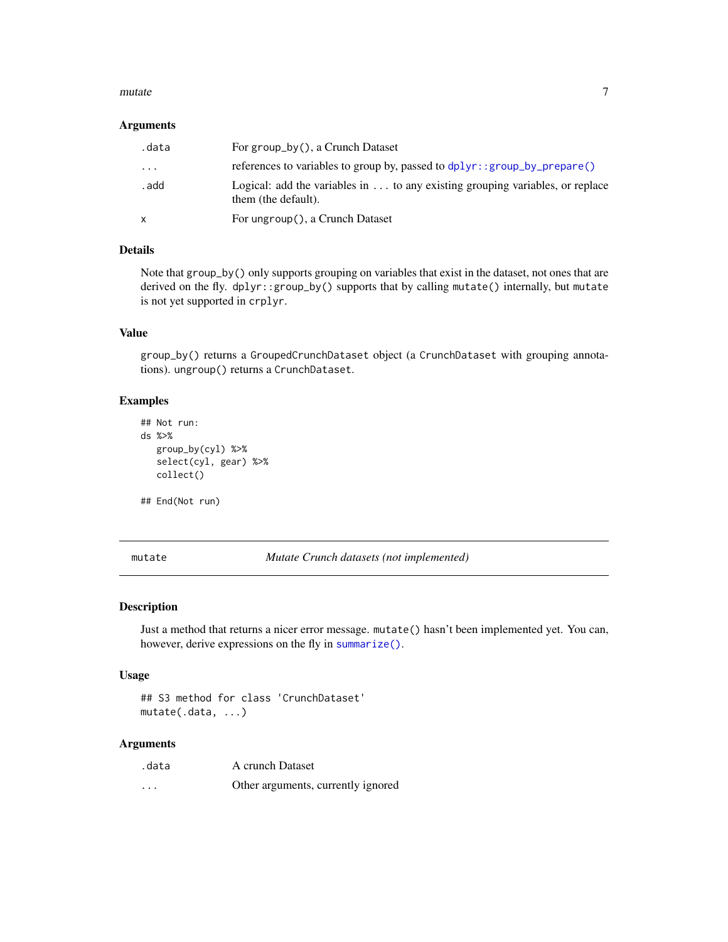#### <span id="page-6-0"></span>mutate 7 and 7 and 7 and 7 and 7 and 7 and 7 and 7 and 7 and 7 and 7 and 7 and 7 and 7 and 7 and 7 and 7 and 7

#### Arguments

| .data    | For group_by(), a Crunch Dataset                                                                     |
|----------|------------------------------------------------------------------------------------------------------|
| $\cdots$ | references to variables to group by, passed to dplyr::group_by_prepare()                             |
| . add    | Logical: add the variables in  to any existing grouping variables, or replace<br>them (the default). |
| X        | For ungroup(), a Crunch Dataset                                                                      |

# Details

Note that group\_by() only supports grouping on variables that exist in the dataset, not ones that are derived on the fly. dplyr::group\_by() supports that by calling mutate() internally, but mutate is not yet supported in crplyr.

#### Value

group\_by() returns a GroupedCrunchDataset object (a CrunchDataset with grouping annotations). ungroup() returns a CrunchDataset.

#### Examples

```
## Not run:
ds %>%
   group_by(cyl) %>%
   select(cyl, gear) %>%
  collect()
```
## End(Not run)

mutate *Mutate Crunch datasets (not implemented)*

# Description

Just a method that returns a nicer error message. mutate() hasn't been implemented yet. You can, however, derive expressions on the fly in [summarize\(\)](#page-7-1).

#### Usage

## S3 method for class 'CrunchDataset' mutate(.data, ...)

#### Arguments

| .data    | A crunch Dataset                   |
|----------|------------------------------------|
| $\cdots$ | Other arguments, currently ignored |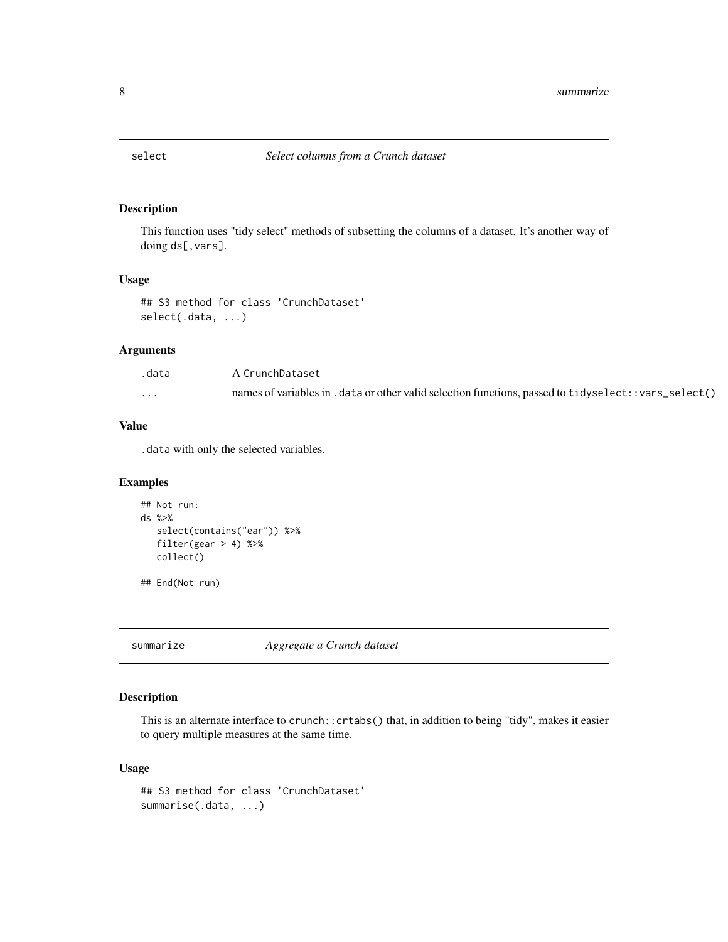<span id="page-7-0"></span>

This function uses "tidy select" methods of subsetting the columns of a dataset. It's another way of doing ds[,vars].

#### Usage

```
## S3 method for class 'CrunchDataset'
select(.data, ...)
```
# Arguments

| .data    | A CrunchDataset                                                                                        |
|----------|--------------------------------------------------------------------------------------------------------|
| $\cdots$ | names of variables in . data or other valid selection functions, passed to tidyselect: : vars_select() |

# Value

.data with only the selected variables.

#### Examples

```
## Not run:
ds %>%
   select(contains("ear")) %>%
  filter(gear > 4) %>%
  collect()
```
## End(Not run)

<span id="page-7-1"></span>summarize *Aggregate a Crunch dataset*

# Description

This is an alternate interface to crunch::crtabs() that, in addition to being "tidy", makes it easier to query multiple measures at the same time.

### Usage

```
## S3 method for class 'CrunchDataset'
summarise(.data, ...)
```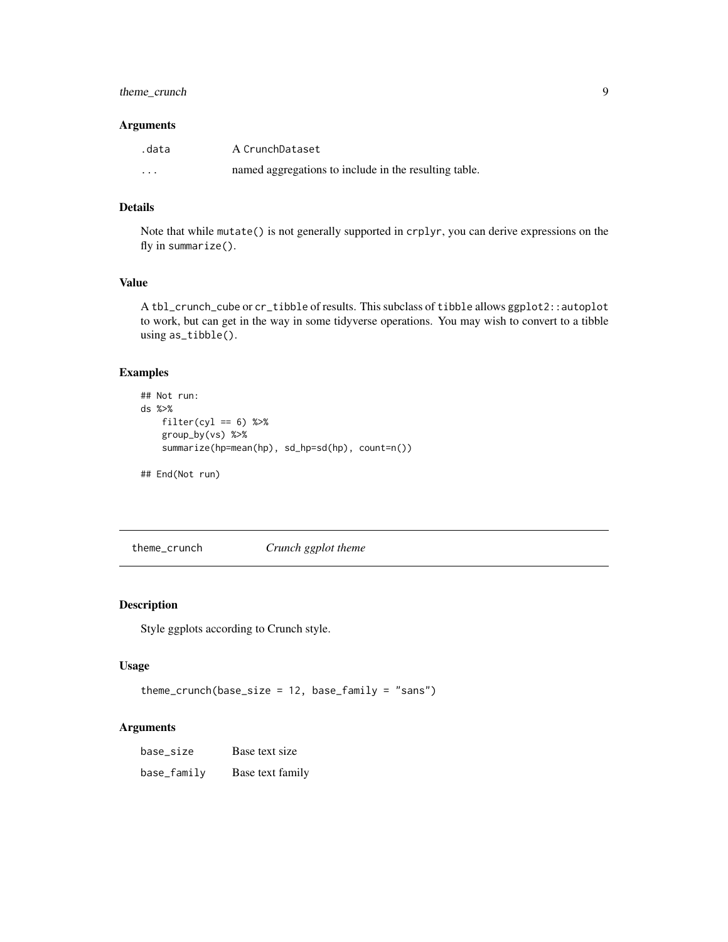# <span id="page-8-0"></span>theme\_crunch 9

#### Arguments

| .data                   | A CrunchDataset                                       |
|-------------------------|-------------------------------------------------------|
| $\cdot$ $\cdot$ $\cdot$ | named aggregations to include in the resulting table. |

#### Details

Note that while mutate() is not generally supported in crplyr, you can derive expressions on the fly in summarize().

# Value

A tbl\_crunch\_cube or cr\_tibble of results. This subclass of tibble allows ggplot2::autoplot to work, but can get in the way in some tidyverse operations. You may wish to convert to a tibble using as\_tibble().

# Examples

```
## Not run:
ds %>%
   filter(cyl == 6) %>%
   group_by(vs) %>%
   summarize(hp=mean(hp), sd_hp=sd(hp), count=n())
## End(Not run)
```
theme\_crunch *Crunch ggplot theme*

### Description

Style ggplots according to Crunch style.

# Usage

```
theme_crunch(base_size = 12, base_family = "sans")
```
# Arguments

| base_size   | Base text size   |
|-------------|------------------|
| base_family | Base text family |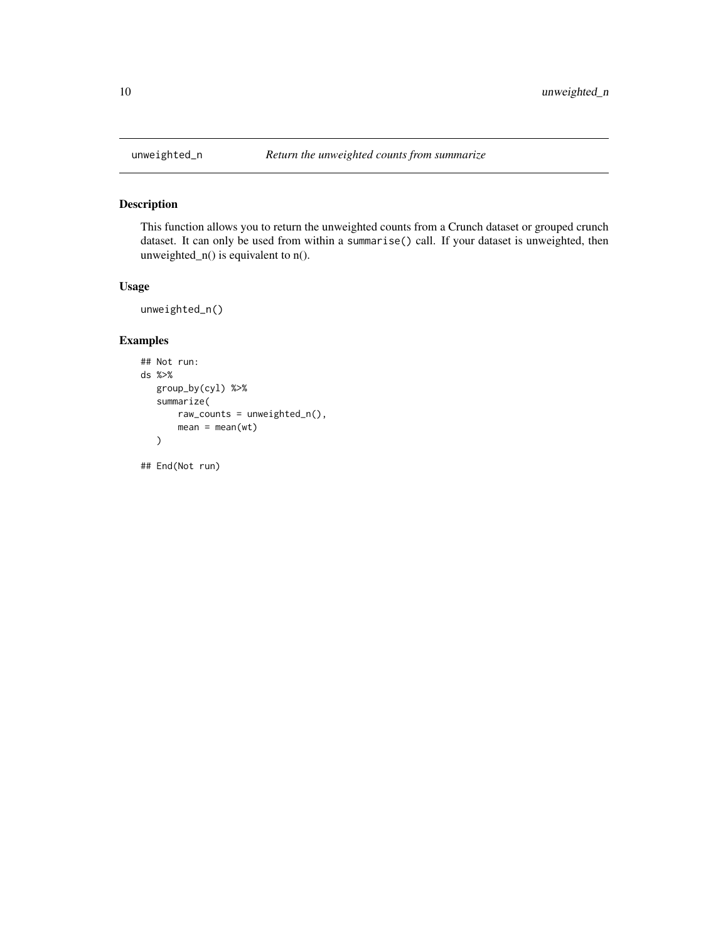<span id="page-9-0"></span>

This function allows you to return the unweighted counts from a Crunch dataset or grouped crunch dataset. It can only be used from within a summarise() call. If your dataset is unweighted, then unweighted\_n() is equivalent to n().

# Usage

```
unweighted_n()
```
# Examples

```
## Not run:
ds %>%
   group_by(cyl) %>%
   summarize(
       raw_counts = unweighted_n(),
       mean = mean(wt)\lambda
```
## End(Not run)